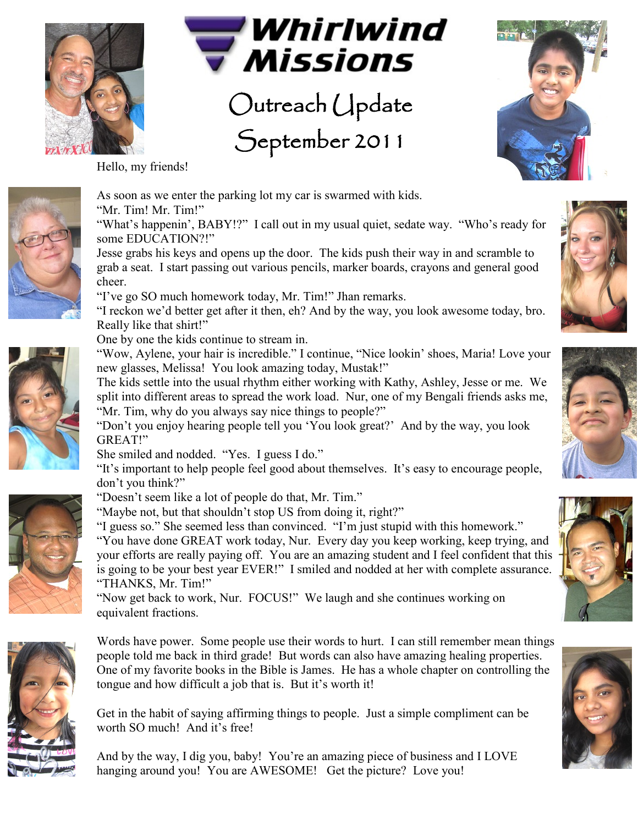



Outreach Update September 2011



Hello, my friends!



As soon as we enter the parking lot my car is swarmed with kids. "Mr. Tim! Mr. Tim!"

"What's happenin', BABY!?" I call out in my usual quiet, sedate way. "Who's ready for some EDUCATION?!"

Jesse grabs his keys and opens up the door. The kids push their way in and scramble to grab a seat. I start passing out various pencils, marker boards, crayons and general good cheer.

"I"ve go SO much homework today, Mr. Tim!" Jhan remarks.

"I reckon we"d better get after it then, eh? And by the way, you look awesome today, bro. Really like that shirt!"

One by one the kids continue to stream in.

"Wow, Aylene, your hair is incredible." I continue, "Nice lookin" shoes, Maria! Love your new glasses, Melissa! You look amazing today, Mustak!"

The kids settle into the usual rhythm either working with Kathy, Ashley, Jesse or me. We split into different areas to spread the work load. Nur, one of my Bengali friends asks me, "Mr. Tim, why do you always say nice things to people?"

"Don"t you enjoy hearing people tell you "You look great?" And by the way, you look GREAT!"

She smiled and nodded. "Yes. I guess I do."

"It"s important to help people feel good about themselves. It"s easy to encourage people, don"t you think?"



"Doesn"t seem like a lot of people do that, Mr. Tim." "Maybe not, but that shouldn"t stop US from doing it, right?"

"I guess so." She seemed less than convinced. "I"m just stupid with this homework." "You have done GREAT work today, Nur. Every day you keep working, keep trying, and your efforts are really paying off. You are an amazing student and I feel confident that this is going to be your best year EVER!" I smiled and nodded at her with complete assurance.

"THANKS, Mr. Tim!" "Now get back to work, Nur. FOCUS!" We laugh and she continues working on equivalent fractions.



Words have power. Some people use their words to hurt. I can still remember mean things people told me back in third grade! But words can also have amazing healing properties. One of my favorite books in the Bible is James. He has a whole chapter on controlling the tongue and how difficult a job that is. But it's worth it!

Get in the habit of saying affirming things to people. Just a simple compliment can be worth SO much! And it's free!

And by the way, I dig you, baby! You"re an amazing piece of business and I LOVE hanging around you! You are AWESOME! Get the picture? Love you!